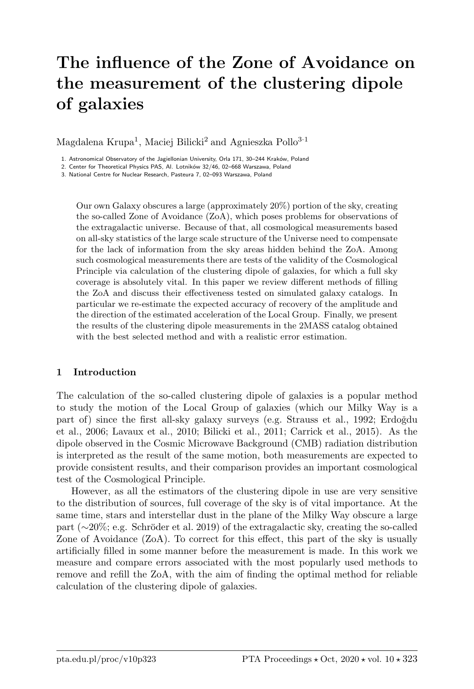# The influence of the Zone of Avoidance on the measurement of the clustering dipole of galaxies

Magdalena Krupa<sup>1</sup>, Maciej Bilicki<sup>2</sup> and Agnieszka Pollo<sup>3-1</sup>

1. Astronomical Observatory of the Jagiellonian University, Orla 171, 30–244 Kraków, Poland

2. Center for Theoretical Physics PAS, Al. Lotników 32/46, 02–668 Warszawa, Poland

3. National Centre for Nuclear Research, Pasteura 7, 02–093 Warszawa, Poland

Our own Galaxy obscures a large (approximately 20%) portion of the sky, creating the so-called Zone of Avoidance (ZoA), which poses problems for observations of the extragalactic universe. Because of that, all cosmological measurements based on all-sky statistics of the large scale structure of the Universe need to compensate for the lack of information from the sky areas hidden behind the ZoA. Among such cosmological measurements there are tests of the validity of the Cosmological Principle via calculation of the clustering dipole of galaxies, for which a full sky coverage is absolutely vital. In this paper we review different methods of filling the ZoA and discuss their effectiveness tested on simulated galaxy catalogs. In particular we re-estimate the expected accuracy of recovery of the amplitude and the direction of the estimated acceleration of the Local Group. Finally, we present the results of the clustering dipole measurements in the 2MASS catalog obtained with the best selected method and with a realistic error estimation.

#### 1 Introduction

The calculation of the so-called clustering dipole of galaxies is a popular method to study the motion of the Local Group of galaxies (which our Milky Way is a part of) since the first all-sky galaxy surveys (e.g. Strauss et al., 1992; Erdoğdu et al., 2006; Lavaux et al., 2010; Bilicki et al., 2011; Carrick et al., 2015). As the dipole observed in the Cosmic Microwave Background (CMB) radiation distribution is interpreted as the result of the same motion, both measurements are expected to provide consistent results, and their comparison provides an important cosmological test of the Cosmological Principle.

However, as all the estimators of the clustering dipole in use are very sensitive to the distribution of sources, full coverage of the sky is of vital importance. At the same time, stars and interstellar dust in the plane of the Milky Way obscure a large part (∼20%; e.g. Schröder et al. 2019) of the extragalactic sky, creating the so-called Zone of Avoidance (ZoA). To correct for this effect, this part of the sky is usually artificially filled in some manner before the measurement is made. In this work we measure and compare errors associated with the most popularly used methods to remove and refill the ZoA, with the aim of finding the optimal method for reliable calculation of the clustering dipole of galaxies.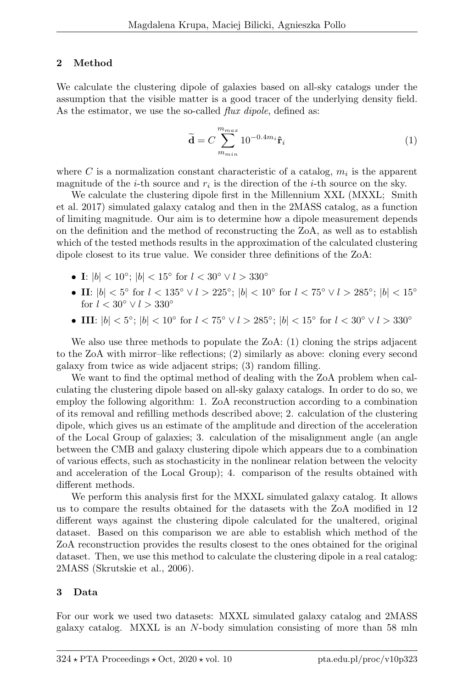# 2 Method

We calculate the clustering dipole of galaxies based on all-sky catalogs under the assumption that the visible matter is a good tracer of the underlying density field. As the estimator, we use the so-called *flux dipole*, defined as:

$$
\widetilde{\mathbf{d}} = C \sum_{m_{min}}^{m_{max}} 10^{-0.4m_i} \hat{\mathbf{r}}_i
$$
 (1)

where C is a normalization constant characteristic of a catalog,  $m_i$  is the apparent magnitude of the *i*-th source and  $r_i$  is the direction of the *i*-th source on the sky.

We calculate the clustering dipole first in the Millennium XXL (MXXL; Smith et al. 2017) simulated galaxy catalog and then in the 2MASS catalog, as a function of limiting magnitude. Our aim is to determine how a dipole measurement depends on the definition and the method of reconstructing the ZoA, as well as to establish which of the tested methods results in the approximation of the calculated clustering dipole closest to its true value. We consider three definitions of the ZoA:

- I:  $|b| < 10^{\circ}$ ;  $|b| < 15^{\circ}$  for  $l < 30^{\circ} \vee l > 330^{\circ}$
- II:  $|b| < 5^{\circ}$  for  $l < 135^{\circ} \vee l > 225^{\circ}$ ;  $|b| < 10^{\circ}$  for  $l < 75^{\circ} \vee l > 285^{\circ}$ ;  $|b| < 15^{\circ}$ for  $l < 30^\circ \vee l > 330^\circ$
- III:  $|b| < 5^\circ$ ;  $|b| < 10^\circ$  for  $l < 75^\circ \vee l > 285^\circ$ ;  $|b| < 15^\circ$  for  $l < 30^\circ \vee l > 330^\circ$

We also use three methods to populate the ZoA: (1) cloning the strips adjacent to the ZoA with mirror–like reflections; (2) similarly as above: cloning every second galaxy from twice as wide adjacent strips; (3) random filling.

We want to find the optimal method of dealing with the ZoA problem when calculating the clustering dipole based on all-sky galaxy catalogs. In order to do so, we employ the following algorithm: 1. ZoA reconstruction according to a combination of its removal and refilling methods described above; 2. calculation of the clustering dipole, which gives us an estimate of the amplitude and direction of the acceleration of the Local Group of galaxies; 3. calculation of the misalignment angle (an angle between the CMB and galaxy clustering dipole which appears due to a combination of various effects, such as stochasticity in the nonlinear relation between the velocity and acceleration of the Local Group); 4. comparison of the results obtained with different methods.

We perform this analysis first for the MXXL simulated galaxy catalog. It allows us to compare the results obtained for the datasets with the ZoA modified in 12 different ways against the clustering dipole calculated for the unaltered, original dataset. Based on this comparison we are able to establish which method of the ZoA reconstruction provides the results closest to the ones obtained for the original dataset. Then, we use this method to calculate the clustering dipole in a real catalog: 2MASS (Skrutskie et al., 2006).

## 3 Data

For our work we used two datasets: MXXL simulated galaxy catalog and 2MASS galaxy catalog. MXXL is an N-body simulation consisting of more than 58 mln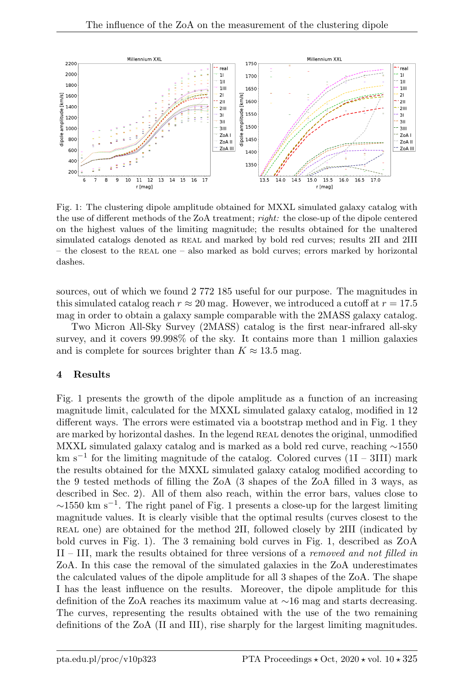

Fig. 1: The clustering dipole amplitude obtained for MXXL simulated galaxy catalog with the use of different methods of the ZoA treatment; right: the close-up of the dipole centered on the highest values of the limiting magnitude; the results obtained for the unaltered simulated catalogs denoted as REAL and marked by bold red curves; results 2II and 2III – the closest to the real one – also marked as bold curves; errors marked by horizontal dashes.

sources, out of which we found 2 772 185 useful for our purpose. The magnitudes in this simulated catalog reach  $r \approx 20$  mag. However, we introduced a cutoff at  $r = 17.5$ mag in order to obtain a galaxy sample comparable with the 2MASS galaxy catalog.

Two Micron All-Sky Survey (2MASS) catalog is the first near-infrared all-sky survey, and it covers 99.998% of the sky. It contains more than 1 million galaxies and is complete for sources brighter than  $K \approx 13.5$  mag.

## 4 Results

Fig. 1 presents the growth of the dipole amplitude as a function of an increasing magnitude limit, calculated for the MXXL simulated galaxy catalog, modified in 12 different ways. The errors were estimated via a bootstrap method and in Fig. 1 they are marked by horizontal dashes. In the legend REAL denotes the original, unmodified MXXL simulated galaxy catalog and is marked as a bold red curve, reaching ∼1550 km s<sup>-1</sup> for the limiting magnitude of the catalog. Colored curves  $(1I – 3III)$  mark the results obtained for the MXXL simulated galaxy catalog modified according to the 9 tested methods of filling the ZoA (3 shapes of the ZoA filled in 3 ways, as described in Sec. 2). All of them also reach, within the error bars, values close to  $\sim$ 1550 km s<sup>-1</sup>. The right panel of Fig. 1 presents a close-up for the largest limiting magnitude values. It is clearly visible that the optimal results (curves closest to the real one) are obtained for the method 2II, followed closely by 2III (indicated by bold curves in Fig. 1). The 3 remaining bold curves in Fig. 1, described as ZoA II – III, mark the results obtained for three versions of a removed and not filled in ZoA. In this case the removal of the simulated galaxies in the ZoA underestimates the calculated values of the dipole amplitude for all 3 shapes of the ZoA. The shape I has the least influence on the results. Moreover, the dipole amplitude for this definition of the ZoA reaches its maximum value at ∼16 mag and starts decreasing. The curves, representing the results obtained with the use of the two remaining definitions of the ZoA (II and III), rise sharply for the largest limiting magnitudes.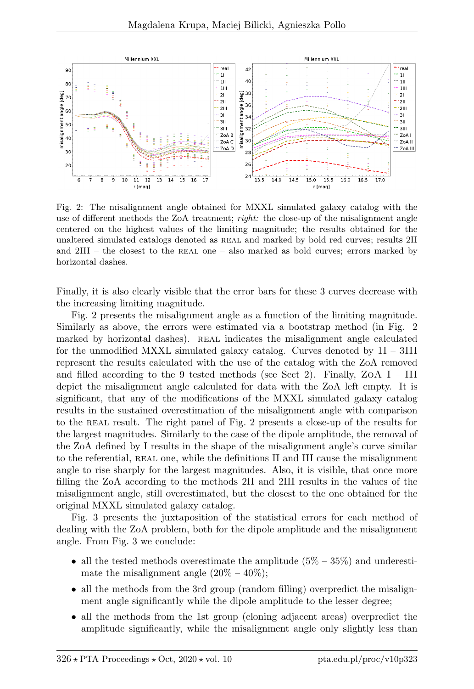

Fig. 2: The misalignment angle obtained for MXXL simulated galaxy catalog with the use of different methods the ZoA treatment; *right*: the close-up of the misalignment angle centered on the highest values of the limiting magnitude; the results obtained for the unaltered simulated catalogs denoted as real and marked by bold red curves; results 2II and  $2III$  – the closest to the REAL one – also marked as bold curves; errors marked by horizontal dashes.

Finally, it is also clearly visible that the error bars for these 3 curves decrease with the increasing limiting magnitude.

Fig. 2 presents the misalignment angle as a function of the limiting magnitude. Similarly as above, the errors were estimated via a bootstrap method (in Fig. 2 marked by horizontal dashes). REAL indicates the misalignment angle calculated for the unmodified MXXL simulated galaxy catalog. Curves denoted by  $1I - 3III$ represent the results calculated with the use of the catalog with the ZoA removed and filled according to the 9 tested methods (see Sect 2). Finally, ZoA  $I - III$ depict the misalignment angle calculated for data with the ZoA left empty. It is significant, that any of the modifications of the MXXL simulated galaxy catalog results in the sustained overestimation of the misalignment angle with comparison to the REAL result. The right panel of Fig. 2 presents a close-up of the results for the largest magnitudes. Similarly to the case of the dipole amplitude, the removal of the ZoA defined by I results in the shape of the misalignment angle's curve similar to the referential, real one, while the definitions II and III cause the misalignment angle to rise sharply for the largest magnitudes. Also, it is visible, that once more filling the ZoA according to the methods 2II and 2III results in the values of the misalignment angle, still overestimated, but the closest to the one obtained for the original MXXL simulated galaxy catalog.

Fig. 3 presents the juxtaposition of the statistical errors for each method of dealing with the ZoA problem, both for the dipole amplitude and the misalignment angle. From Fig. 3 we conclude:

- all the tested methods overestimate the amplitude  $(5\% 35\%)$  and underestimate the misalignment angle  $(20\% - 40\%)$ ;
- all the methods from the 3rd group (random filling) overpredict the misalignment angle significantly while the dipole amplitude to the lesser degree;
- all the methods from the 1st group (cloning adjacent areas) overpredict the amplitude significantly, while the misalignment angle only slightly less than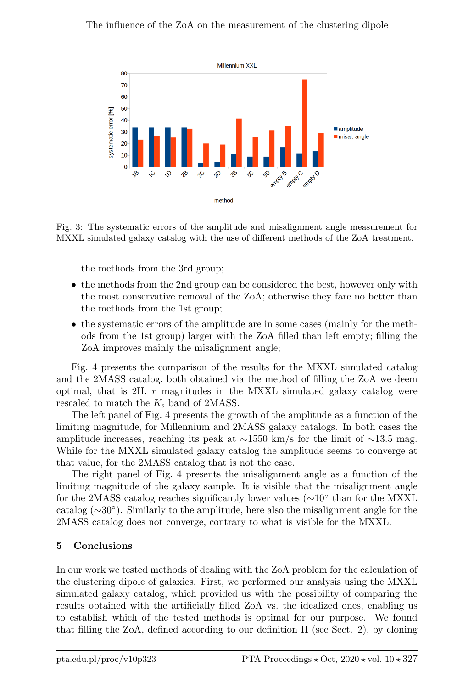

Fig. 3: The systematic errors of the amplitude and misalignment angle measurement for MXXL simulated galaxy catalog with the use of different methods of the ZoA treatment.

the methods from the 3rd group;

- the methods from the 2nd group can be considered the best, however only with the most conservative removal of the ZoA; otherwise they fare no better than the methods from the 1st group;
- the systematic errors of the amplitude are in some cases (mainly for the methods from the 1st group) larger with the ZoA filled than left empty; filling the ZoA improves mainly the misalignment angle;

Fig. 4 presents the comparison of the results for the MXXL simulated catalog and the 2MASS catalog, both obtained via the method of filling the ZoA we deem optimal, that is 2II.  $r$  magnitudes in the MXXL simulated galaxy catalog were rescaled to match the  $K_s$  band of 2MASS.

The left panel of Fig. 4 presents the growth of the amplitude as a function of the limiting magnitude, for Millennium and 2MASS galaxy catalogs. In both cases the amplitude increases, reaching its peak at ∼1550 km/s for the limit of ∼13.5 mag. While for the MXXL simulated galaxy catalog the amplitude seems to converge at that value, for the 2MASS catalog that is not the case.

The right panel of Fig. 4 presents the misalignment angle as a function of the limiting magnitude of the galaxy sample. It is visible that the misalignment angle for the 2MASS catalog reaches significantly lower values (~10<sup>°</sup> than for the MXXL catalog (∼30◦ ). Similarly to the amplitude, here also the misalignment angle for the 2MASS catalog does not converge, contrary to what is visible for the MXXL.

#### 5 Conclusions

In our work we tested methods of dealing with the ZoA problem for the calculation of the clustering dipole of galaxies. First, we performed our analysis using the MXXL simulated galaxy catalog, which provided us with the possibility of comparing the results obtained with the artificially filled ZoA vs. the idealized ones, enabling us to establish which of the tested methods is optimal for our purpose. We found that filling the ZoA, defined according to our definition II (see Sect. 2), by cloning